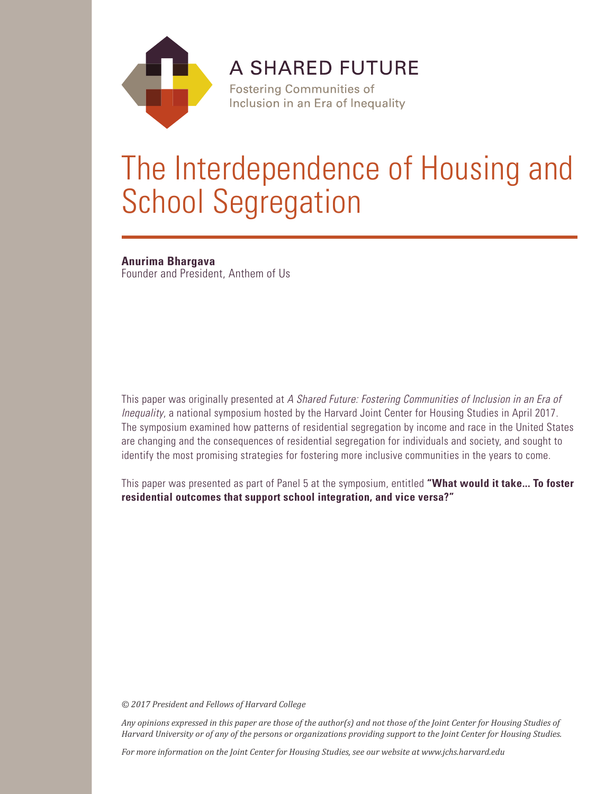

**A SHARED FUTURE** 

**Fostering Communities of** Inclusion in an Era of Inequality

# The Interdependence of Housing and School Segregation

**Anurima Bhargava** Founder and President, Anthem of Us

This paper was originally presented at *A Shared Future: Fostering Communities of Inclusion in an Era of Inequality*, a national symposium hosted by the Harvard Joint Center for Housing Studies in April 2017. The symposium examined how patterns of residential segregation by income and race in the United States are changing and the consequences of residential segregation for individuals and society, and sought to identify the most promising strategies for fostering more inclusive communities in the years to come.

This paper was presented as part of Panel 5 at the symposium, entitled **"What would it take... To foster residential outcomes that support school integration, and vice versa?"**

*© 2017 President and Fellows of Harvard College*

*Any opinions expressed in this paper are those of the author(s) and not those of the Joint Center for Housing Studies of Harvard University or of any of the persons or organizations providing support to the Joint Center for Housing Studies.* 

*For more information on the Joint Center for Housing Studies, see our website at www.jchs.harvard.edu*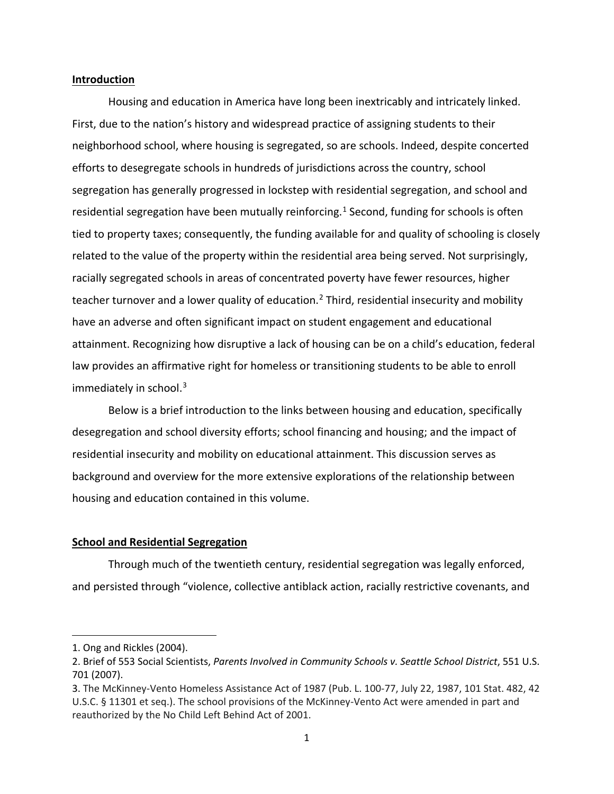## **Introduction**

Housing and education in America have long been inextricably and intricately linked. First, due to the nation's history and widespread practice of assigning students to their neighborhood school, where housing is segregated, so are schools. Indeed, despite concerted efforts to desegregate schools in hundreds of jurisdictions across the country, school segregation has generally progressed in lockstep with residential segregation, and school and residential segregation have been mutually reinforcing.<sup>[1](#page-1-0)</sup> Second, funding for schools is often tied to property taxes; consequently, the funding available for and quality of schooling is closely related to the value of the property within the residential area being served. Not surprisingly, racially segregated schools in areas of concentrated poverty have fewer resources, higher teacher turnover and a lower quality of education.<sup>[2](#page-1-1)</sup> Third, residential insecurity and mobility have an adverse and often significant impact on student engagement and educational attainment. Recognizing how disruptive a lack of housing can be on a child's education, federal law provides an affirmative right for homeless or transitioning students to be able to enroll immediately in school.<sup>[3](#page-1-2)</sup>

Below is a brief introduction to the links between housing and education, specifically desegregation and school diversity efforts; school financing and housing; and the impact of residential insecurity and mobility on educational attainment. This discussion serves as background and overview for the more extensive explorations of the relationship between housing and education contained in this volume.

## **School and Residential Segregation**

Through much of the twentieth century, residential segregation was legally enforced, and persisted through "violence, collective antiblack action, racially restrictive covenants, and

<span id="page-1-0"></span><sup>1.</sup> Ong and Rickles (2004).

<span id="page-1-1"></span><sup>2.</sup> Brief of 553 Social Scientists, *Parents Involved in Community Schools v. Seattle School District*, 551 U.S. 701 (2007).

<span id="page-1-2"></span><sup>3.</sup> The McKinney-Vento Homeless Assistance Act of 1987 (Pub. L. 100-77, July 22, 1987, 101 Stat. 482, 42 U.S.C. § 11301 et seq.). The school provisions of the McKinney-Vento Act were amended in part and reauthorized by the No Child Left Behind Act of 2001.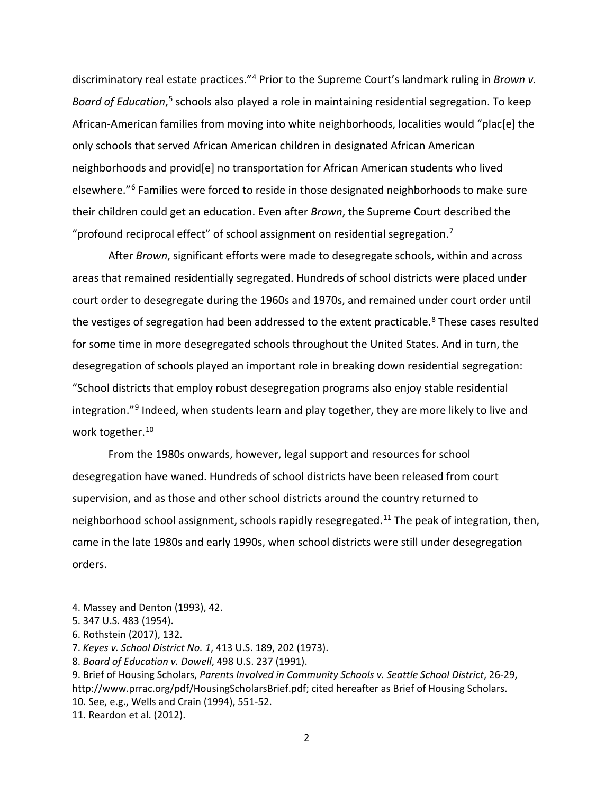discriminatory real estate practices."[4](#page-2-0) Prior to the Supreme Court's landmark ruling in *Brown v. Board of Education*, [5](#page-2-1) schools also played a role in maintaining residential segregation. To keep African-American families from moving into white neighborhoods, localities would "plac[e] the only schools that served African American children in designated African American neighborhoods and provid[e] no transportation for African American students who lived elsewhere."[6](#page-2-2) Families were forced to reside in those designated neighborhoods to make sure their children could get an education. Even after *Brown*, the Supreme Court described the "profound reciprocal effect" of school assignment on residential segregation.[7](#page-2-3)

After *Brown*, significant efforts were made to desegregate schools, within and across areas that remained residentially segregated. Hundreds of school districts were placed under court order to desegregate during the 1960s and 1970s, and remained under court order until the vestiges of segregation had been addressed to the extent practicable.<sup>[8](#page-2-4)</sup> These cases resulted for some time in more desegregated schools throughout the United States. And in turn, the desegregation of schools played an important role in breaking down residential segregation: "School districts that employ robust desegregation programs also enjoy stable residential integration."<sup>[9](#page-2-5)</sup> Indeed, when students learn and play together, they are more likely to live and work together.<sup>[10](#page-2-6)</sup>

From the 1980s onwards, however, legal support and resources for school desegregation have waned. Hundreds of school districts have been released from court supervision, and as those and other school districts around the country returned to neighborhood school assignment, schools rapidly resegregated.<sup>[11](#page-2-7)</sup> The peak of integration, then, came in the late 1980s and early 1990s, when school districts were still under desegregation orders.

<span id="page-2-0"></span><sup>4.</sup> Massey and Denton (1993), 42.

<span id="page-2-1"></span><sup>5.</sup> 347 U.S. 483 (1954).

<span id="page-2-2"></span><sup>6.</sup> Rothstein (2017), 132.

<span id="page-2-3"></span><sup>7.</sup> *Keyes v. School District No. 1*, 413 U.S. 189, 202 (1973).

<span id="page-2-4"></span><sup>8.</sup> *Board of Education v. Dowell*, 498 U.S. 237 (1991).

<span id="page-2-5"></span><sup>9.</sup> Brief of Housing Scholars, *Parents Involved in Community Schools v. Seattle School District*, 26-29, http://www.prrac.org/pdf/HousingScholarsBrief.pdf; cited hereafter as Brief of Housing Scholars. 10. See, e.g., Wells and Crain (1994), 551-52.

<span id="page-2-7"></span><span id="page-2-6"></span><sup>11.</sup> Reardon et al. (2012).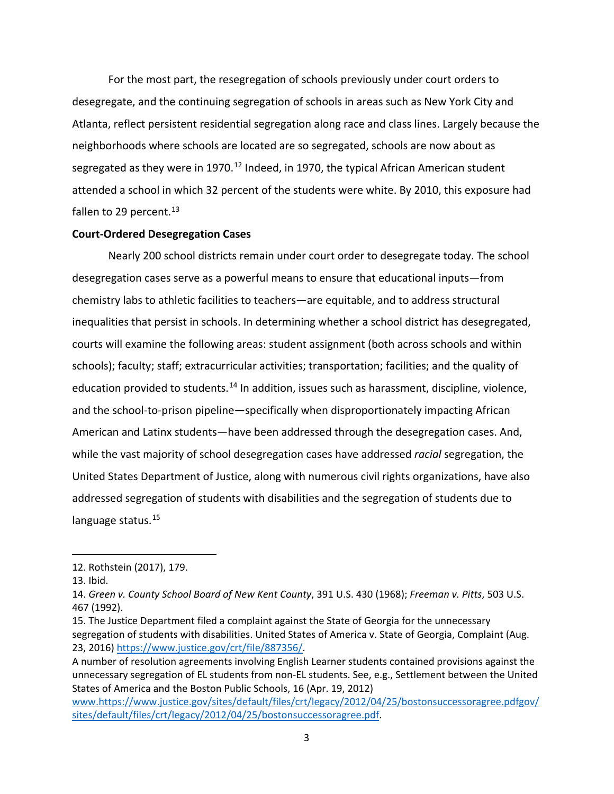For the most part, the resegregation of schools previously under court orders to desegregate, and the continuing segregation of schools in areas such as New York City and Atlanta, reflect persistent residential segregation along race and class lines. Largely because the neighborhoods where schools are located are so segregated, schools are now about as segregated as they were in 1970.<sup>[12](#page-3-0)</sup> Indeed, in 1970, the typical African American student attended a school in which 32 percent of the students were white. By 2010, this exposure had fallen to 29 percent. $^{13}$  $^{13}$  $^{13}$ 

## **Court-Ordered Desegregation Cases**

Nearly 200 school districts remain under court order to desegregate today. The school desegregation cases serve as a powerful means to ensure that educational inputs—from chemistry labs to athletic facilities to teachers—are equitable, and to address structural inequalities that persist in schools. In determining whether a school district has desegregated, courts will examine the following areas: student assignment (both across schools and within schools); faculty; staff; extracurricular activities; transportation; facilities; and the quality of education provided to students.<sup>[14](#page-3-2)</sup> In addition, issues such as harassment, discipline, violence, and the school-to-prison pipeline—specifically when disproportionately impacting African American and Latinx students—have been addressed through the desegregation cases. And, while the vast majority of school desegregation cases have addressed *racial* segregation, the United States Department of Justice, along with numerous civil rights organizations, have also addressed segregation of students with disabilities and the segregation of students due to language status.<sup>[15](#page-3-3)</sup>

<span id="page-3-0"></span><sup>12.</sup> Rothstein (2017), 179.

<span id="page-3-1"></span><sup>13.</sup> Ibid.

<span id="page-3-2"></span><sup>14.</sup> *Green v. County School Board of New Kent County*, 391 U.S. 430 (1968); *Freeman v. Pitts*, 503 U.S. 467 (1992).

<span id="page-3-3"></span><sup>15.</sup> The Justice Department filed a complaint against the State of Georgia for the unnecessary segregation of students with disabilities. United States of America v. State of Georgia, Complaint (Aug. 23, 2016) [https://www.justice.gov/crt/file/887356/.](https://www.justice.gov/crt/file/887356/)

A number of resolution agreements involving English Learner students contained provisions against the unnecessary segregation of EL students from non-EL students. See, e.g., Settlement between the United States of America and the Boston Public Schools, 16 (Apr. 19, 2012)

[www.https://www.justice.gov/sites/default/files/crt/legacy/2012/04/25/bostonsuccessoragree.pdfgov/](https://www.https/www.justice.gov/sites/default/files/crt/legacy/2012/04/25/bostonsuccessoragree.pdfgov/sites/default/files/crt/legacy/2012/04/25/bostonsuccessoragree.pdf) [sites/default/files/crt/legacy/2012/04/25/bostonsuccessoragree.pdf.](https://www.https/www.justice.gov/sites/default/files/crt/legacy/2012/04/25/bostonsuccessoragree.pdfgov/sites/default/files/crt/legacy/2012/04/25/bostonsuccessoragree.pdf)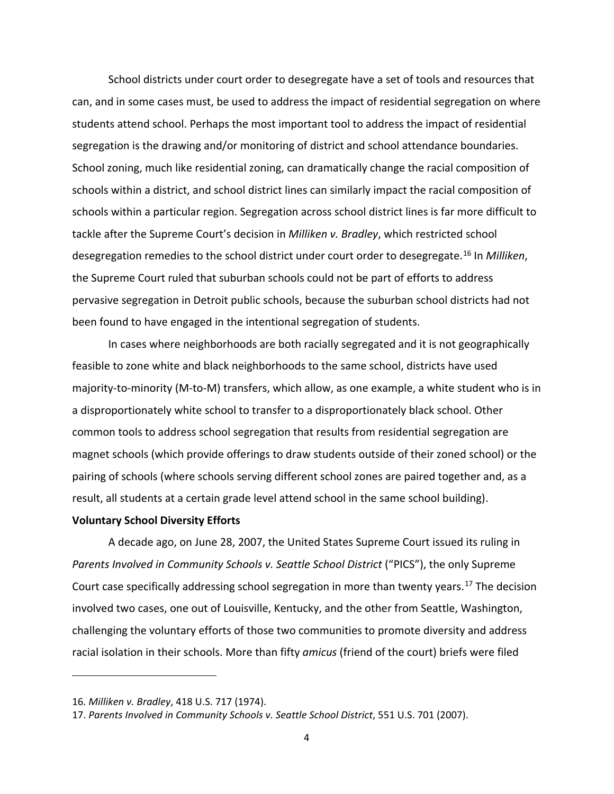School districts under court order to desegregate have a set of tools and resources that can, and in some cases must, be used to address the impact of residential segregation on where students attend school. Perhaps the most important tool to address the impact of residential segregation is the drawing and/or monitoring of district and school attendance boundaries. School zoning, much like residential zoning, can dramatically change the racial composition of schools within a district, and school district lines can similarly impact the racial composition of schools within a particular region. Segregation across school district lines is far more difficult to tackle after the Supreme Court's decision in *Milliken v. Bradley*, which restricted school desegregation remedies to the school district under court order to desegregate. [16](#page-4-0) In *Milliken*, the Supreme Court ruled that suburban schools could not be part of efforts to address pervasive segregation in Detroit public schools, because the suburban school districts had not been found to have engaged in the intentional segregation of students.

In cases where neighborhoods are both racially segregated and it is not geographically feasible to zone white and black neighborhoods to the same school, districts have used majority-to-minority (M-to-M) transfers, which allow, as one example, a white student who is in a disproportionately white school to transfer to a disproportionately black school. Other common tools to address school segregation that results from residential segregation are magnet schools (which provide offerings to draw students outside of their zoned school) or the pairing of schools (where schools serving different school zones are paired together and, as a result, all students at a certain grade level attend school in the same school building).

### **Voluntary School Diversity Efforts**

A decade ago, on June 28, 2007, the United States Supreme Court issued its ruling in *Parents Involved in Community Schools v. Seattle School District* ("PICS"), the only Supreme Court case specifically addressing school segregation in more than twenty years.<sup>[17](#page-4-1)</sup> The decision involved two cases, one out of Louisville, Kentucky, and the other from Seattle, Washington, challenging the voluntary efforts of those two communities to promote diversity and address racial isolation in their schools. More than fifty *amicus* (friend of the court) briefs were filed

<span id="page-4-0"></span><sup>16.</sup> *Milliken v. Bradley*, 418 U.S. 717 (1974).

<span id="page-4-1"></span><sup>17.</sup> *Parents Involved in Community Schools v. Seattle School District*, 551 U.S. 701 (2007).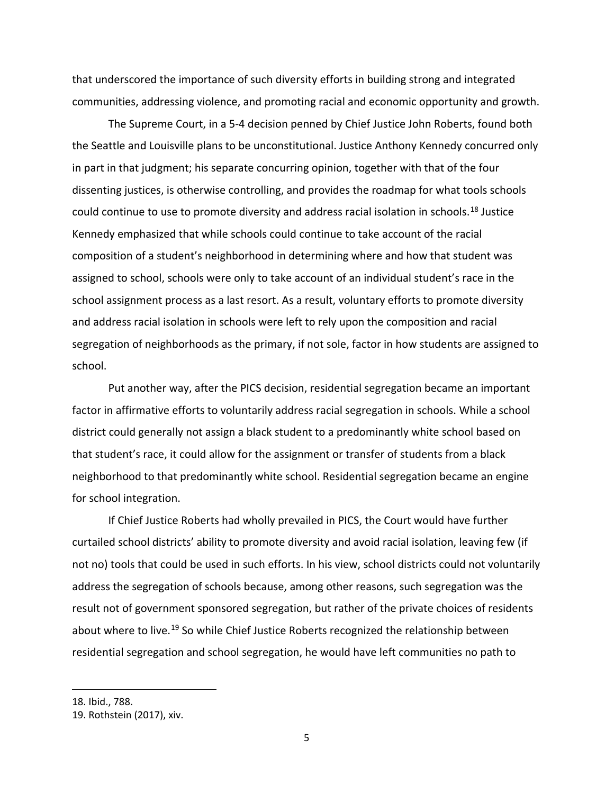that underscored the importance of such diversity efforts in building strong and integrated communities, addressing violence, and promoting racial and economic opportunity and growth.

The Supreme Court, in a 5-4 decision penned by Chief Justice John Roberts, found both the Seattle and Louisville plans to be unconstitutional. Justice Anthony Kennedy concurred only in part in that judgment; his separate concurring opinion, together with that of the four dissenting justices, is otherwise controlling, and provides the roadmap for what tools schools could continue to use to promote diversity and address racial isolation in schools.[18](#page-5-0) Justice Kennedy emphasized that while schools could continue to take account of the racial composition of a student's neighborhood in determining where and how that student was assigned to school, schools were only to take account of an individual student's race in the school assignment process as a last resort. As a result, voluntary efforts to promote diversity and address racial isolation in schools were left to rely upon the composition and racial segregation of neighborhoods as the primary, if not sole, factor in how students are assigned to school.

Put another way, after the PICS decision, residential segregation became an important factor in affirmative efforts to voluntarily address racial segregation in schools. While a school district could generally not assign a black student to a predominantly white school based on that student's race, it could allow for the assignment or transfer of students from a black neighborhood to that predominantly white school. Residential segregation became an engine for school integration.

If Chief Justice Roberts had wholly prevailed in PICS, the Court would have further curtailed school districts' ability to promote diversity and avoid racial isolation, leaving few (if not no) tools that could be used in such efforts. In his view, school districts could not voluntarily address the segregation of schools because, among other reasons, such segregation was the result not of government sponsored segregation, but rather of the private choices of residents about where to live.<sup>[19](#page-5-1)</sup> So while Chief Justice Roberts recognized the relationship between residential segregation and school segregation, he would have left communities no path to

<span id="page-5-0"></span><sup>18.</sup> Ibid., 788.

<span id="page-5-1"></span><sup>19.</sup> Rothstein (2017), xiv.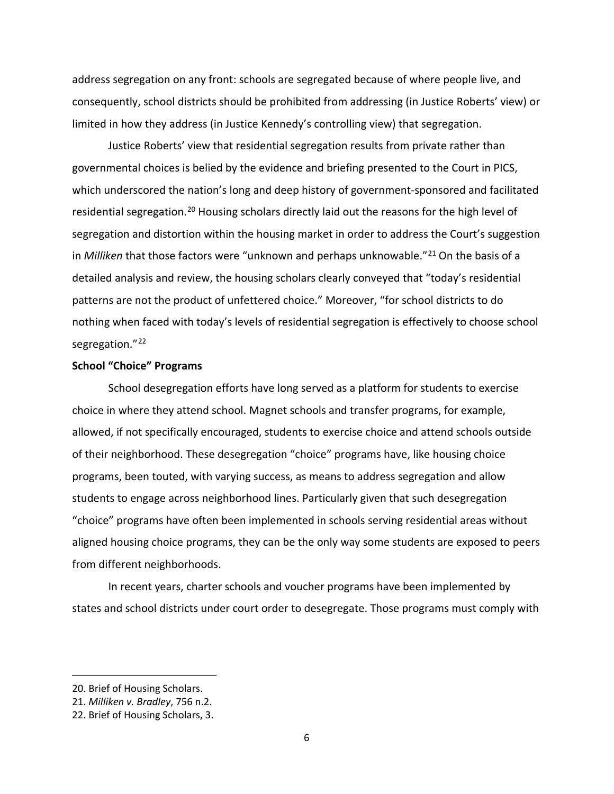address segregation on any front: schools are segregated because of where people live, and consequently, school districts should be prohibited from addressing (in Justice Roberts' view) or limited in how they address (in Justice Kennedy's controlling view) that segregation.

Justice Roberts' view that residential segregation results from private rather than governmental choices is belied by the evidence and briefing presented to the Court in PICS, which underscored the nation's long and deep history of government-sponsored and facilitated residential segregation.<sup>[20](#page-6-0)</sup> Housing scholars directly laid out the reasons for the high level of segregation and distortion within the housing market in order to address the Court's suggestion in *Milliken* that those factors were "unknown and perhaps unknowable."[21](#page-6-1) On the basis of a detailed analysis and review, the housing scholars clearly conveyed that "today's residential patterns are not the product of unfettered choice." Moreover, "for school districts to do nothing when faced with today's levels of residential segregation is effectively to choose school segregation."<sup>[22](#page-6-2)</sup>

## **School "Choice" Programs**

School desegregation efforts have long served as a platform for students to exercise choice in where they attend school. Magnet schools and transfer programs, for example, allowed, if not specifically encouraged, students to exercise choice and attend schools outside of their neighborhood. These desegregation "choice" programs have, like housing choice programs, been touted, with varying success, as means to address segregation and allow students to engage across neighborhood lines. Particularly given that such desegregation "choice" programs have often been implemented in schools serving residential areas without aligned housing choice programs, they can be the only way some students are exposed to peers from different neighborhoods.

In recent years, charter schools and voucher programs have been implemented by states and school districts under court order to desegregate. Those programs must comply with

<span id="page-6-0"></span><sup>20.</sup> Brief of Housing Scholars.

<span id="page-6-1"></span><sup>21.</sup> *Milliken v. Bradley*, 756 n.2.

<span id="page-6-2"></span><sup>22.</sup> Brief of Housing Scholars, 3.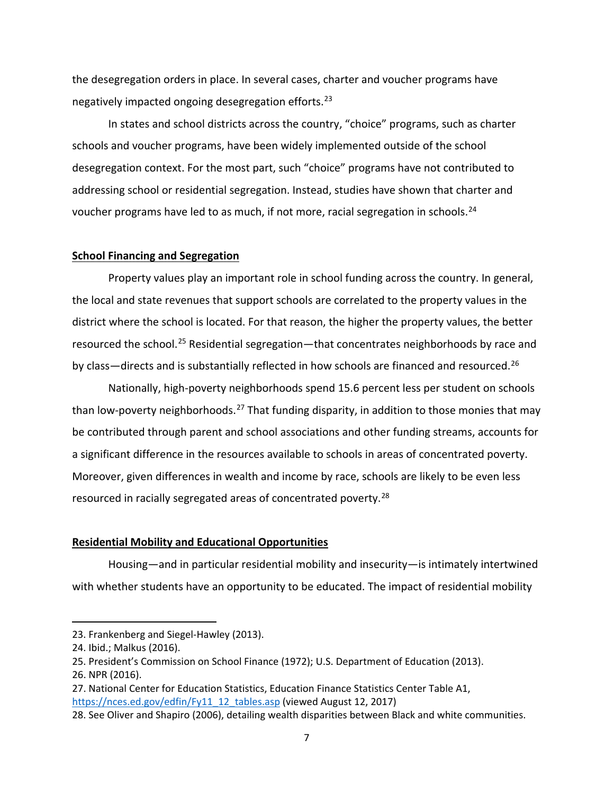the desegregation orders in place. In several cases, charter and voucher programs have negatively impacted ongoing desegregation efforts.[23](#page-7-0)

In states and school districts across the country, "choice" programs, such as charter schools and voucher programs, have been widely implemented outside of the school desegregation context. For the most part, such "choice" programs have not contributed to addressing school or residential segregation. Instead, studies have shown that charter and voucher programs have led to as much, if not more, racial segregation in schools.<sup>[24](#page-7-1)</sup>

### **School Financing and Segregation**

Property values play an important role in school funding across the country. In general, the local and state revenues that support schools are correlated to the property values in the district where the school is located. For that reason, the higher the property values, the better resourced the school.<sup>[25](#page-7-2)</sup> Residential segregation—that concentrates neighborhoods by race and by class—directs and is substantially reflected in how schools are financed and resourced.<sup>[26](#page-7-3)</sup>

Nationally, high-poverty neighborhoods spend 15.6 percent less per student on schools than low-poverty neighborhoods.<sup>[27](#page-7-4)</sup> That funding disparity, in addition to those monies that may be contributed through parent and school associations and other funding streams, accounts for a significant difference in the resources available to schools in areas of concentrated poverty. Moreover, given differences in wealth and income by race, schools are likely to be even less resourced in racially segregated areas of concentrated poverty.<sup>[28](#page-7-5)</sup>

#### **Residential Mobility and Educational Opportunities**

Housing—and in particular residential mobility and insecurity—is intimately intertwined with whether students have an opportunity to be educated. The impact of residential mobility

<span id="page-7-0"></span><sup>23.</sup> Frankenberg and Siegel-Hawley (2013).

<span id="page-7-1"></span><sup>24.</sup> Ibid.; Malkus (2016).

<span id="page-7-2"></span><sup>25.</sup> President's Commission on School Finance (1972); U.S. Department of Education (2013).

<span id="page-7-3"></span><sup>26.</sup> NPR (2016).

<span id="page-7-4"></span><sup>27.</sup> National Center for Education Statistics, Education Finance Statistics Center Table A1, [https://nces.ed.gov/edfin/Fy11\\_12\\_tables.asp](https://nces.ed.gov/edfin/Fy11_12_tables.asp) (viewed August 12, 2017)

<span id="page-7-5"></span><sup>28.</sup> See Oliver and Shapiro (2006), detailing wealth disparities between Black and white communities.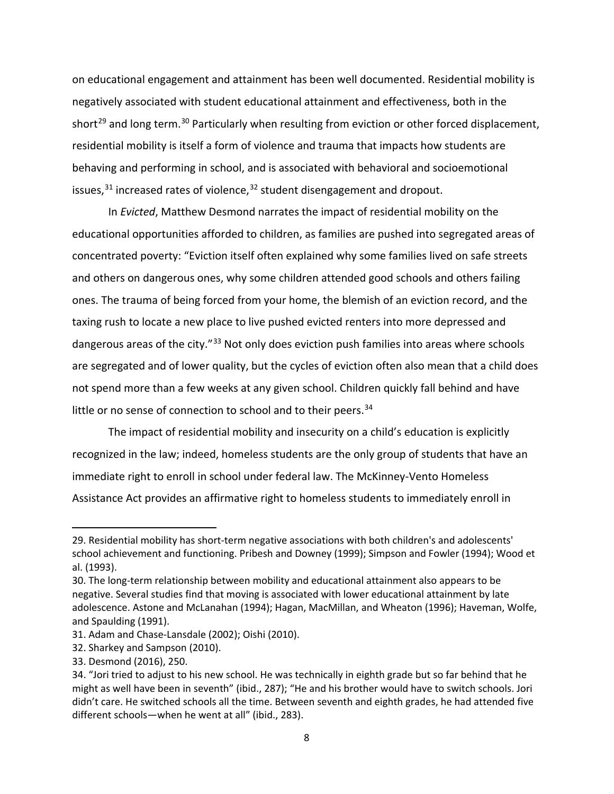on educational engagement and attainment has been well documented. Residential mobility is negatively associated with student educational attainment and effectiveness, both in the short<sup>[29](#page-8-0)</sup> and long term.<sup>[30](#page-8-1)</sup> Particularly when resulting from eviction or other forced displacement, residential mobility is itself a form of violence and trauma that impacts how students are behaving and performing in school, and is associated with behavioral and socioemotional issues, $31$  increased rates of violence, $32$  student disengagement and dropout.

In *Evicted*, Matthew Desmond narrates the impact of residential mobility on the educational opportunities afforded to children, as families are pushed into segregated areas of concentrated poverty: "Eviction itself often explained why some families lived on safe streets and others on dangerous ones, why some children attended good schools and others failing ones. The trauma of being forced from your home, the blemish of an eviction record, and the taxing rush to locate a new place to live pushed evicted renters into more depressed and dangerous areas of the city."<sup>[33](#page-8-4)</sup> Not only does eviction push families into areas where schools are segregated and of lower quality, but the cycles of eviction often also mean that a child does not spend more than a few weeks at any given school. Children quickly fall behind and have little or no sense of connection to school and to their peers.<sup>[34](#page-8-5)</sup>

The impact of residential mobility and insecurity on a child's education is explicitly recognized in the law; indeed, homeless students are the only group of students that have an immediate right to enroll in school under federal law. The McKinney-Vento Homeless Assistance Act provides an affirmative right to homeless students to immediately enroll in

<span id="page-8-0"></span><sup>29.</sup> Residential mobility has short-term negative associations with both children's and adolescents' school achievement and functioning. Pribesh and Downey (1999); Simpson and Fowler (1994); Wood et al. (1993).

<span id="page-8-1"></span><sup>30.</sup> The long-term relationship between mobility and educational attainment also appears to be negative. Several studies find that moving is associated with lower educational attainment by late adolescence. Astone and McLanahan (1994); Hagan, MacMillan, and Wheaton (1996); Haveman, Wolfe, and Spaulding (1991).

<span id="page-8-2"></span><sup>31.</sup> Adam and Chase-Lansdale (2002); Oishi (2010).

<span id="page-8-3"></span><sup>32.</sup> Sharkey and Sampson (2010).

<span id="page-8-4"></span><sup>33.</sup> Desmond (2016), 250.

<span id="page-8-5"></span><sup>34.</sup> "Jori tried to adjust to his new school. He was technically in eighth grade but so far behind that he might as well have been in seventh" (ibid., 287); "He and his brother would have to switch schools. Jori didn't care. He switched schools all the time. Between seventh and eighth grades, he had attended five different schools—when he went at all" (ibid., 283).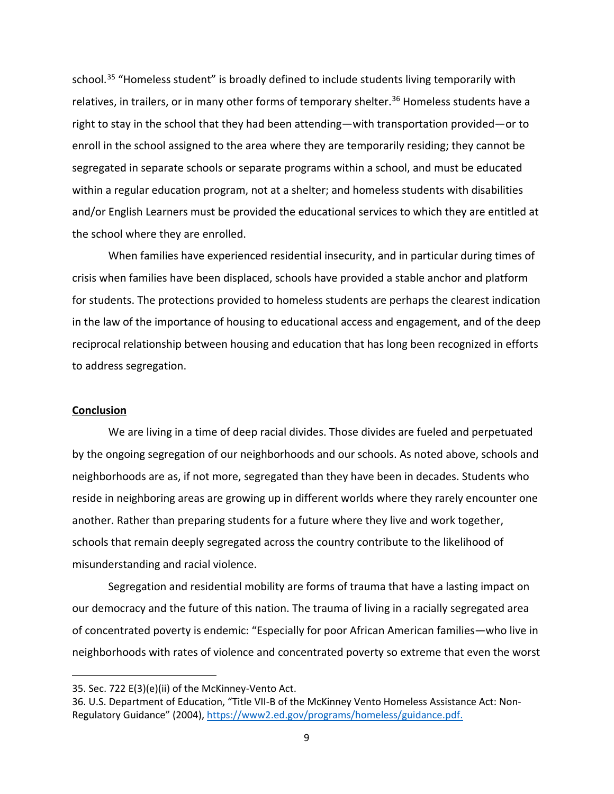school.<sup>[35](#page-9-0)</sup> "Homeless student" is broadly defined to include students living temporarily with relatives, in trailers, or in many other forms of temporary shelter.<sup>[36](#page-9-1)</sup> Homeless students have a right to stay in the school that they had been attending—with transportation provided—or to enroll in the school assigned to the area where they are temporarily residing; they cannot be segregated in separate schools or separate programs within a school, and must be educated within a regular education program, not at a shelter; and homeless students with disabilities and/or English Learners must be provided the educational services to which they are entitled at the school where they are enrolled.

When families have experienced residential insecurity, and in particular during times of crisis when families have been displaced, schools have provided a stable anchor and platform for students. The protections provided to homeless students are perhaps the clearest indication in the law of the importance of housing to educational access and engagement, and of the deep reciprocal relationship between housing and education that has long been recognized in efforts to address segregation.

### **Conclusion**

 $\overline{a}$ 

We are living in a time of deep racial divides. Those divides are fueled and perpetuated by the ongoing segregation of our neighborhoods and our schools. As noted above, schools and neighborhoods are as, if not more, segregated than they have been in decades. Students who reside in neighboring areas are growing up in different worlds where they rarely encounter one another. Rather than preparing students for a future where they live and work together, schools that remain deeply segregated across the country contribute to the likelihood of misunderstanding and racial violence.

Segregation and residential mobility are forms of trauma that have a lasting impact on our democracy and the future of this nation. The trauma of living in a racially segregated area of concentrated poverty is endemic: "Especially for poor African American families—who live in neighborhoods with rates of violence and concentrated poverty so extreme that even the worst

<span id="page-9-0"></span><sup>35.</sup> Sec. 722 E(3)(e)(ii) of the McKinney-Vento Act.

<span id="page-9-1"></span><sup>36.</sup> U.S. Department of Education, "Title VII-B of the McKinney Vento Homeless Assistance Act: Non-Regulatory Guidance" (2004), [https://www2.ed.gov/programs/homeless/guidance.pdf.](https://www2.ed.gov/programs/homeless/guidance.pdf)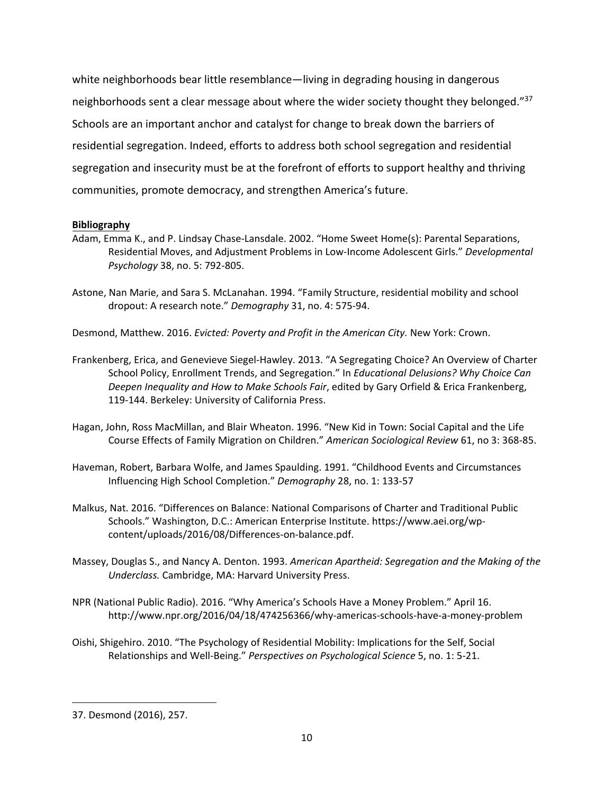white neighborhoods bear little resemblance—living in degrading housing in dangerous neighborhoods sent a clear message about where the wider society thought they belonged."[37](#page-10-0) Schools are an important anchor and catalyst for change to break down the barriers of residential segregation. Indeed, efforts to address both school segregation and residential segregation and insecurity must be at the forefront of efforts to support healthy and thriving communities, promote democracy, and strengthen America's future.

# **Bibliography**

- Adam, Emma K., and P. Lindsay Chase-Lansdale. 2002. "Home Sweet Home(s): Parental Separations, Residential Moves, and Adjustment Problems in Low-Income Adolescent Girls." *Developmental Psychology* 38, no. 5: 792-805.
- Astone, Nan Marie, and Sara S. McLanahan. 1994. "Family Structure, residential mobility and school dropout: A research note." *Demography* 31, no. 4: 575-94.
- Desmond, Matthew. 2016. *Evicted: Poverty and Profit in the American City.* New York: Crown.
- Frankenberg, Erica, and Genevieve Siegel-Hawley. 2013. "A Segregating Choice? An Overview of Charter School Policy, Enrollment Trends, and Segregation." In *Educational Delusions? Why Choice Can Deepen Inequality and How to Make Schools Fair*, edited by Gary Orfield & Erica Frankenberg, 119-144. Berkeley: University of California Press.
- Hagan, John, Ross MacMillan, and Blair Wheaton. 1996. "New Kid in Town: Social Capital and the Life Course Effects of Family Migration on Children." *American Sociological Review* 61, no 3: 368-85.
- Haveman, Robert, Barbara Wolfe, and James Spaulding. 1991. "Childhood Events and Circumstances Influencing High School Completion." *Demography* 28, no. 1: 133-57
- Malkus, Nat. 2016. "Differences on Balance: National Comparisons of Charter and Traditional Public Schools." Washington, D.C.: American Enterprise Institute. https://www.aei.org/wpcontent/uploads/2016/08/Differences-on-balance.pdf.
- Massey, Douglas S., and Nancy A. Denton. 1993. *American Apartheid: Segregation and the Making of the Underclass.* Cambridge, MA: Harvard University Press.
- NPR (National Public Radio). 2016. "Why America's Schools Have a Money Problem." April 16. http://www.npr.org/2016/04/18/474256366/why-americas-schools-have-a-money-problem
- Oishi, Shigehiro. 2010. "The Psychology of Residential Mobility: Implications for the Self, Social Relationships and Well-Being." *Perspectives on Psychological Science* 5, no. 1: 5-21.

<span id="page-10-0"></span><sup>37.</sup> Desmond (2016), 257.